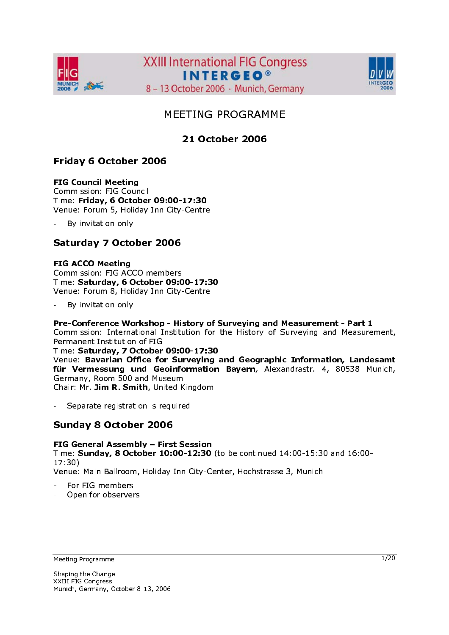



# MEETING PROGRAMME

# 21 October 2006

# Friday 6 October 2006

 FIG Council Meeting Commission: FIG Council Time: Friday, 6 October 09:00-17:30 Venue: Forum 5, Holiday Inn City-Centre

By invitation only

# Saturday 7 October 2006

# FIG ACCO Meeting

Commission: FIG ACCO members Time: Saturday, 6 October 09:00-17:30 Venue: Forum 8, Holiday Inn City-Centre

By invitation only

21 October 2006<br>
5<br>
7:00-17:30<br>
City-Centre<br>
09:00-17:30<br>
OF OS-00-17:30<br>
City-Centre<br>
- History of Surveying and Mentitution for the History of Surveying and Geographic<br>
09:00-17:30<br>
To Surveying and Geographic<br>
09:00-17: Pre-Conference Workshop - History of Surveying and Measurement - Part 1 Commission: International Institution for the History of Surveying and Measurement, Permanent Institution of FIG Time: Saturday, 7 October 09:00-17:30 Venue: Bavarian Office for Surveying and Geographic Information, Landesamt für Vermessung und Geoinformation Bayern, Alexandrastr. 4, 80538 Munich, Germany, Room 500 and Museum Chair: Mr. Jim R. Smith, United Kingdom

Separate registration is required

# Sunday 8 October 2006

# FIG General Assembly – First Session

Time: Sunday, 8 October 10:00-12:30 (to be continued 14:00-15:30 and 16:00- 17:30)

Venue: Main Ballroom, Holiday Inn City-Center, Hochstrasse 3, Munich

- For FIG members
- Open for observers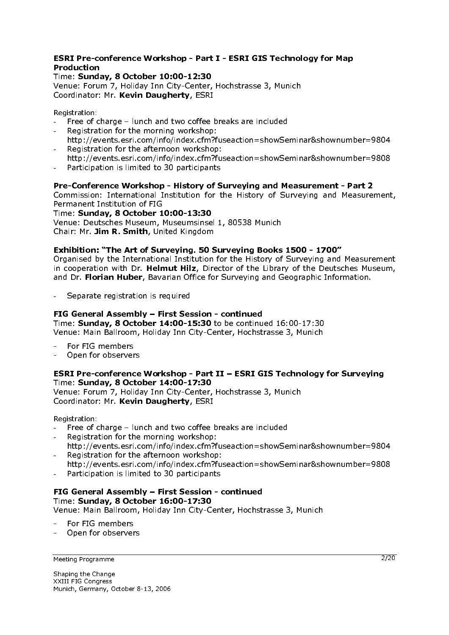# ESRI Pre-conference Workshop - Part I - ESRI GIS Technology for Map Production

Time: Sunday, 8 October 10:00-12:30 Venue: Forum 7, Holiday Inn City-Center, Hochstrasse 3, Munich Coordinator: Mr. Kevin Daugherty, ESRI

- Free of charge lunch and two coffee breaks are included
- Registration for the morning workshop: http://events.esri.com/info/index.cfm?fuseaction=showSeminar&shownumber=9804
- Registration for the afternoon workshop: http://events.esri.com/info/index.cfm?fuseaction=showSeminar&shownumber=9808
- Participation is limited to 30 participants

# Pre-Conference Workshop - History of Surveying and Measurement - Part 2

Commission: International Institution for the History of Surveying and Measurement, Permanent Institution of FIG

Time: Sunday, 8 October 10:00-13:30 Venue: Deutsches Museum, Museumsinsel 1, 80538 Munich Chair: Mr. Jim R. Smith, United Kingdom

# Exhibition: "The Art of Surveying. 50 Surveying Books 1500 - 1700"

Free of c<br>
Registrat<br>
http://ev<br>
Registrat<br>
http://ev<br>
Registrat<br>
http://ev<br>
Participa<br> **Pre-Confer**<br>
Commission<br>
Permanent I<br>
Time: Sund<br>
Venue: Deut<br>
In Cooperatic<br>
Dreganised b<br>
in cooperatic<br>
FIG Genera<br>
Time: Sund<br>
Ve Organised by the International Institution for the History of Surveying and Measurement in cooperation with Dr. Helmut Hilz, Director of the Library of the Deutsches Museum, and Dr. Florian Huber, Bavarian Office for Surveying and Geographic Information.

Separate registration is required

# FIG General Assembly – First Session - continued

Time: Sunday, 8 October 14:00-15:30 to be continued 16:00-17:30 Venue: Main Ballroom, Holiday Inn City-Center, Hochstrasse 3, Munich

- For FIG members
- Open for observers

## ESRI Pre-conference Workshop - Part II – ESRI GIS Technology for Surveying Time: Sunday, 8 October 14:00-17:30

Venue: Forum 7, Holiday Inn City-Center, Hochstrasse 3, Munich Coordinator: Mr. Kevin Daugherty, ESRI

- Free of charge lunch and two coffee breaks are included
- -- Free of c<br>-- Free of c<br>Registration: Http://ev<br>Registration: Haricipa<br>**FIG Genera<br>Time: Sund**<br>Venue: Main<br>-- For FIG -- Open for<br>Meeting Progra<br>Shaping the Ch<br>Meeting Progra<br>Shaping the Ch<br>XXIII FIG Cong Registration for the morning workshop: http://events.esri.com/info/index.cfm?fuseaction=showSeminar&shownumber=9804 Registration for the afternoon workshop:
- http://events.esri.com/info/index.cfm?fuseaction=showSeminar&shownumber=9808
- Participation is limited to 30 participants

#### FIG General Assembly – First Session - continued Time: Sunday, 8 October 16:00-17:30

Venue: Main Ballroom, Holiday Inn City-Center, Hochstrasse 3, Munich

- For FIG members
- Open for observers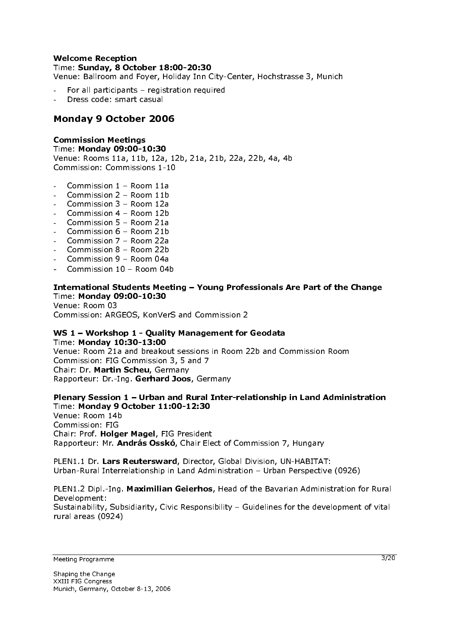#### Welcome Reception Time: Sunday, 8 October 18:00-20:30 Venue: Ballroom and Foyer, Holiday Inn City-Center, Hochstrasse 3, Munich

- For all participants  $-$  registration required
- Dress code: smart casual

# Monday 9 October 2006

# Commission Meetings

#### Time: Monday 09:00-10:30

Venue: Rooms 11a, 11b, 12a, 12b, 21a, 21b, 22a, 22b, 4a, 4b Commission: Commissions 1-10

- Commission 1 Room 11a
- Commission 2 Room 11b
- Commission 3 Room 12a
- Commission 4 Room 12b
- Commission 5 Room 21a
- Commission 6 Room 21b
- Commission 7 Room 22a
- Commission 8 Room 22b
- Commission 9 Room 04a
- Commission 10 Room 04b

## International Students Meeting – Young Professionals Are Part of the Change Time: Monday 09:00-10:30

Venue: Room 03 Commission: ARGEOS, KonVerS and Commission 2

# WS 1 - Workshop 1 - Quality Management for Geodata

Time: Monday 10:30-13:00 Venue: Room 21a and breakout sessions in Room 22b and Commission Room Commission: FIG Commission 3, 5 and 7 Chair: Dr. Martin Scheu, Germany Rapporteur: Dr.-Ing. Gerhard Joos, Germany

#### Plenary Session 1 – Urban and Rural Inter-relationship in Land Administration Time: Monday 9 October 11:00-12:30

Venue: Room 14b Commission: FIG Chair: Prof. Holger Magel, FIG President Rapporteur: Mr. András Osskó, Chair Elect of Commission 7, Hungary

PLEN1.1 Dr. Lars Reutersward, Director, Global Division, UN-HABITAT: Urban-Rural Interrelationship in Land Administration – Urban Perspective (0926)

PLEN1.2 Dipl.-Ing. Maximilian Geierhos, Head of the Bavarian Administration for Rural Development: Sustainability, Subsidiarity, Civic Responsibility – Guidelines for the development of vital rural areas (0924)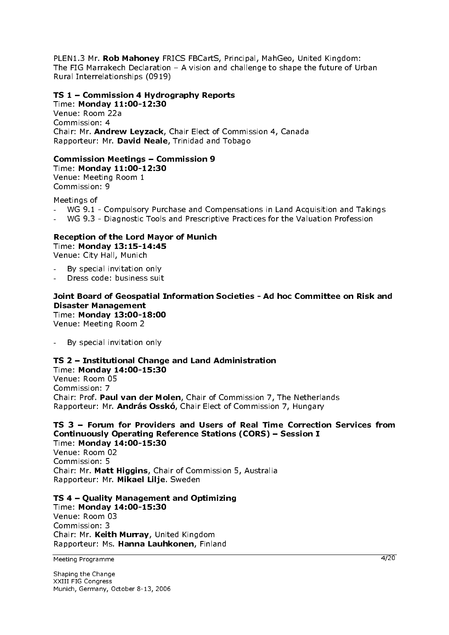PLEN1.3 Mr. Rob Mahoney FRICS FBCartS, Principal, MahGeo, United Kingdom: The FIG Marrakech Declaration – A vision and challenge to shape the future of Urban Rural Interrelationships (0919)

## TS 1 – Commission 4 Hydrography Reports

Time: Monday 11:00-12:30 Venue: Room 22a Commission: 4 Chair: Mr. Andrew Leyzack, Chair Elect of Commission 4, Canada Rapporteur: Mr. David Neale, Trinidad and Tobago

## Commission Meetings – Commission 9

Time: Monday 11:00-12:30 Venue: Meeting Room 1 Commission: 9

Meetings of

- WG 9.1 Compulsory Purchase and Compensations in Land Acquisition and Takings
- WG 9.3 Diagnostic Tools and Prescriptive Practices for the Valuation Profession

#### Reception of the Lord Mayor of Munich Time: Monday 13:15-14:45

Venue: City Hall, Munich

- By special invitation only
- Dress code: business suit

#### Joint Board of Geospatial Information Societies - Ad hoc Committee on Risk and Disaster Management Time: Monday 13:00-18:00

Venue: Meeting Room 2

By special invitation only

# TS 2 – Institutional Change and Land Administration

Time: Monday 14:00-15:30 Venue: Room 05 Commission: 7 Chair: Prof. Paul van der Molen, Chair of Commission 7, The Netherlands Rapporteur: Mr. András Osskó, Chair Elect of Commission 7, Hungary

#### TS 3 – Forum for Providers and Users of Real Time Correction Services from Continuously Operating Reference Stations (CORS) – Session I Time: Monday 14:00-15:30

Venue: Room 02 Commission: 5 Chair: Mr. Matt Higgins, Chair of Commission 5, Australia Rapporteur: Mr. Mikael Lilje. Sweden

#### TS 4 – Quality Management and Optimizing

Time: Monday 14:00-15:30 Venue: Room 03 Commission: 3 Chair: Mr. Keith Murray, United Kingdom Rapporteur: Ms. Hanna Lauhkonen, Finland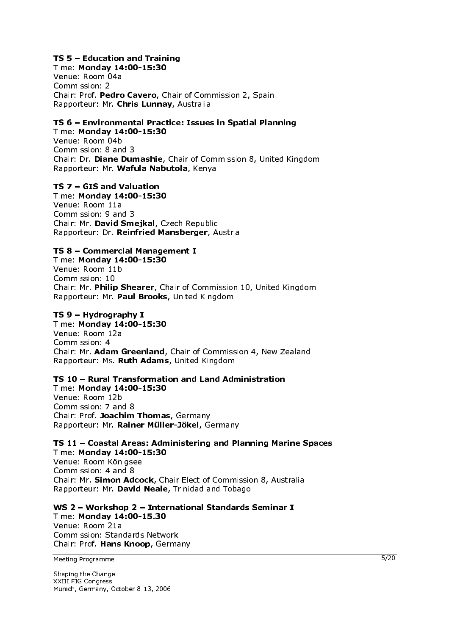# TS 5 – Education and Training

Time: Monday 14:00-15:30 Venue: Room 04a Commission: 2 Chair: Prof. Pedro Cavero, Chair of Commission 2, Spain Rapporteur: Mr. Chris Lunnay, Australia

## TS 6 – Environmental Practice: Issues in Spatial Planning

Time: Monday 14:00-15:30 Venue: Room 04b Commission: 8 and 3 Chair: Dr. Diane Dumashie, Chair of Commission 8, United Kingdom Rapporteur: Mr. Wafula Nabutola, Kenya

# TS 7 – GIS and Valuation

Time: Monday 14:00-15:30 Venue: Room 11a Commission: 9 and 3 Chair: Mr. David Smejkal, Czech Republic Rapporteur: Dr. Reinfried Mansberger, Austria

## TS 8 – Commercial Management I

Time: Monday 14:00-15:30 Venue: Room 11b Commission: 10 Chair: Mr. Philip Shearer, Chair of Commission 10, United Kingdom Rapporteur: Mr. Paul Brooks, United Kingdom

#### TS 9 – Hydrography I

Time: Monday 14:00-15:30 Venue: Room 12a Commission: 4 Chair: Mr. Adam Greenland, Chair of Commission 4, New Zealand Rapporteur: Ms. Ruth Adams, United Kingdom

#### TS 10 – Rural Transformation and Land Administration

Time: Monday 14:00-15:30 Venue: Room 12b Commission: 7 and 8 Chair: Prof. Joachim Thomas, Germany Rapporteur: Mr. Rainer Müller-Jökel, Germany

#### TS 11 – Coastal Areas: Administering and Planning Marine Spaces Time: Monday 14:00-15:30

Venue: Room Königsee Commission: 4 and 8 Chair: Mr. Simon Adcock, Chair Elect of Commission 8, Australia Rapporteur: Mr. David Neale, Trinidad and Tobago

# WS 2 – Workshop 2 – International Standards Seminar I

Time: Monday 14:00-15.30 Venue: Room 21a Commission: Standards Network Chair: Prof. Hans Knoop, Germany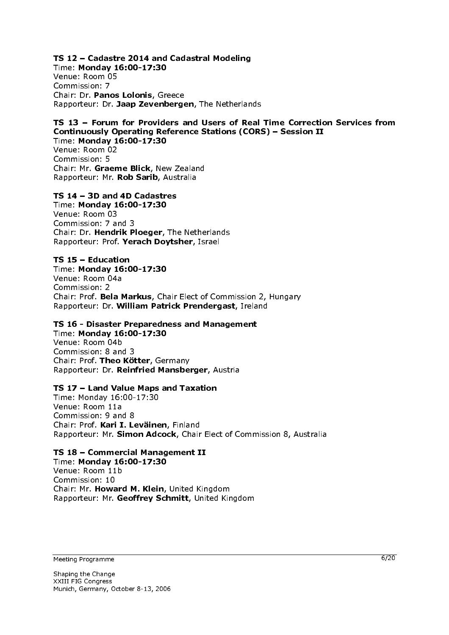#### TS 12 – Cadastre 2014 and Cadastral Modeling Time: Monday 16:00-17:30

Venue: Room 05 Commission: 7 Chair: Dr. Panos Lolonis, Greece Rapporteur: Dr. Jaap Zevenbergen, The Netherlands

#### TS 13 – Forum for Providers and Users of Real Time Correction Services from Continuously Operating Reference Stations (CORS) – Session II Time: Monday 16:00-17:30

Venue: Room 02 Commission: 5 Chair: Mr. Graeme Blick, New Zealand Rapporteur: Mr. Rob Sarib, Australia

# TS 14 – 3D and 4D Cadastres

Time: Monday 16:00-17:30 Venue: Room 03 Commission: 7 and 3 Chair: Dr. Hendrik Ploeger, The Netherlands Rapporteur: Prof. Yerach Doytsher, Israel

# TS 15 – Education

Time: Monday 16:00-17:30 Venue: Room 04a Commission: 2 Chair: Prof. Bela Markus, Chair Elect of Commission 2, Hungary Rapporteur: Dr. William Patrick Prendergast, Ireland

# TS 16 - Disaster Preparedness and Management

Time: Monday 16:00-17:30 Venue: Room 04b Commission: 8 and 3 Chair: Prof. Theo Kötter, Germany Rapporteur: Dr. Reinfried Mansberger, Austria

# TS 17 – Land Value Maps and Taxation

Time: Monday 16:00-17:30 Venue: Room 11a Commission: 9 and 8 Chair: Prof. Kari I. Leväinen, Finland Rapporteur: Mr. Simon Adcock, Chair Elect of Commission 8, Australia

# TS 18 – Commercial Management II

Time: Monday 16:00-17:30 Venue: Room 11b Commission: 10 Chair: Mr. Howard M. Klein, United Kingdom Rapporteur: Mr. Geoffrey Schmitt, United Kingdom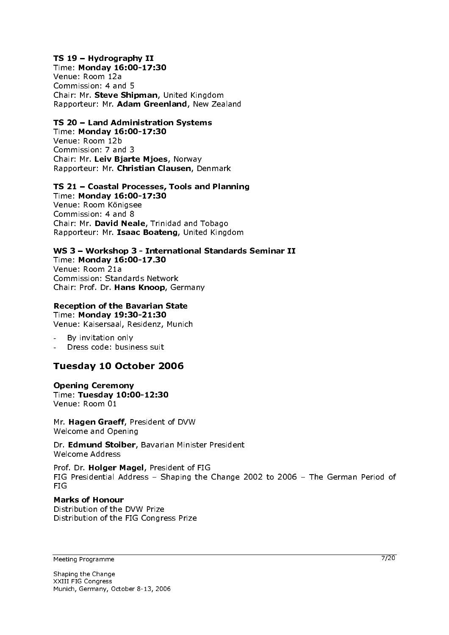# TS 19 – Hydrography II

Time: Monday 16:00-17:30 Venue: Room 12a Commission: 4 and 5 Chair: Mr. Steve Shipman, United Kingdom Rapporteur: Mr. Adam Greenland, New Zealand

# TS 20 – Land Administration Systems

Time: Monday 16:00-17:30 Venue: Room 12b Commission: 7 and 3 Chair: Mr. Leiv Bjarte Mjoes, Norway Rapporteur: Mr. Christian Clausen, Denmark

## TS 21 – Coastal Processes, Tools and Planning

Time: Monday 16:00-17:30 Venue: Room Königsee Commission: 4 and 8 Chair: Mr. David Neale, Trinidad and Tobago Rapporteur: Mr. Isaac Boateng, United Kingdom

## WS 3 – Workshop 3 - International Standards Seminar II

Time: Monday 16:00-17.30 Venue: Room 21a Commission: Standards Network Chair: Prof. Dr. Hans Knoop, Germany

# Reception of the Bavarian State

Time: Monday 19:30-21:30 Venue: Kaisersaal, Residenz, Munich

- By invitation only
- Dress code: business suit

# Tuesday 10 October 2006

Opening Ceremony Time: Tuesday 10:00-12:30 Venue: Room 01

Mr. Hagen Graeff, President of DVW Welcome and Opening

Dr. Edmund Stoiber, Bavarian Minister President Welcome Address

Prof. Dr. Holger Magel, President of FIG FIG Presidential Address – Shaping the Change 2002 to 2006 – The German Period of FIG

#### Marks of Honour Distribution of the DVW Prize Distribution of the FIG Congress Prize

Meeting Programme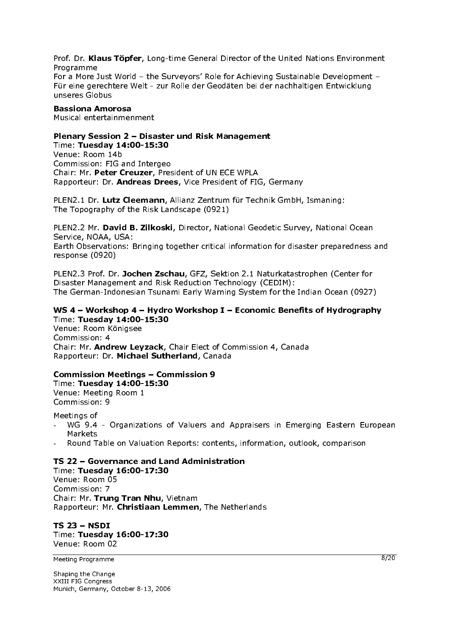Prof. Dr. Klaus Töpfer, Long-time General Director of the United Nations Environment Programme

For a More Just World – the Surveyors' Role for Achieving Sustainable Development – Für eine gerechtere Welt - zur Rolle der Geodäten bei der nachhaltigen Entwicklung unseres Globus

#### Bassiona Amorosa

Musical entertainmenment

# Plenary Session 2 – Disaster und Risk Management

Time: Tuesday 14:00-15:30 Venue: Room 14b Commission: FIG and Intergeo Chair: Mr. Peter Creuzer, President of UN ECE WPLA Rapporteur: Dr. Andreas Drees, Vice President of FIG, Germany

PLEN2.1 Dr. Lutz Cleemann, Allianz Zentrum für Technik GmbH, Ismaning: The Topography of the Risk Landscape (0921)

PLEN2.2 Mr. David B. Zilkoski, Director, National Geodetic Survey, National Ocean Service, NOAA, USA: Earth Observations: Bringing together critical information for disaster preparedness and response (0920)

PLEN2.3 Prof. Dr. Jochen Zschau, GFZ, Sektion 2.1 Naturkatastrophen (Center for Disaster Management and Risk Reduction Technology (CEDIM): The German-Indonesian Tsunami Early Warning System for the Indian Ocean (0927)

# WS 4 – Workshop 4 – Hydro Workshop I – Economic Benefits of Hydrography Time: Tuesday 14:00-15:30

Venue: Room Königsee Commission: 4 Chair: Mr. Andrew Leyzack, Chair Elect of Commission 4, Canada Rapporteur: Dr. Michael Sutherland, Canada

#### Commission Meetings – Commission 9

Time: Tuesday 14:00-15:30 Venue: Meeting Room 1 Commission: 9

Meetings of

- WG 9.4 Organizations of Valuers and Appraisers in Emerging Eastern European Markets
- Round Table on Valuation Reports: contents, information, outlook, comparison

TS 22 – Governance and Land Administration Time: Tuesday 16:00-17:30 Venue: Room 05 Commission: 7 Chair: Mr. Trung Tran Nhu, Vietnam Rapporteur: Mr. Christiaan Lemmen, The Netherlands

TS 23 – NSDI Time: Tuesday 16:00-17:30 Venue: Room 02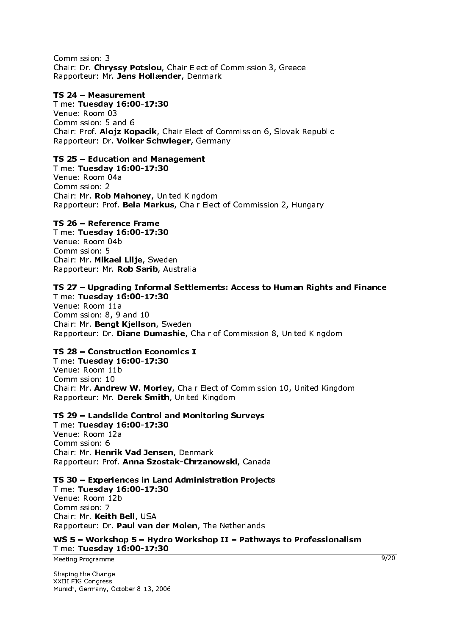Commission: 3 Chair: Dr. Chryssy Potsiou, Chair Elect of Commission 3, Greece Rapporteur: Mr. Jens Holl**æ**nder, Denmark

#### TS 24 – Measurement

Time: Tuesday 16:00-17:30 Venue: Room 03 Commission: 5 and 6 Chair: Prof. Alojz Kopacik, Chair Elect of Commission 6, Slovak Republic Rapporteur: Dr. Volker Schwieger, Germany

# TS 25 – Education and Management

Time: Tuesday 16:00-17:30 Venue: Room 04a Commission: 2 Chair: Mr. Rob Mahoney, United Kingdom Rapporteur: Prof. Bela Markus, Chair Elect of Commission 2, Hungary

## TS 26 – Reference Frame

Time: Tuesday 16:00-17:30 Venue: Room 04b Commission: 5 Chair: Mr. Mikael Lilje, Sweden Rapporteur: Mr. Rob Sarib, Australia

#### TS 27 – Upgrading Informal Settlements: Access to Human Rights and Finance Time: Tuesday 16:00-17:30

Venue: Room 11a Commission: 8, 9 and 10 Chair: Mr. Bengt Kjellson, Sweden Rapporteur: Dr. Diane Dumashie, Chair of Commission 8, United Kingdom

# TS 28 – Construction Economics I

Time: Tuesday 16:00-17:30 Venue: Room 11b Commission: 10 Chair: Mr. Andrew W. Morley, Chair Elect of Commission 10, United Kingdom Rapporteur: Mr. Derek Smith, United Kingdom

#### TS 29 – Landslide Control and Monitoring Surveys

Time: Tuesday 16:00-17:30 Venue: Room 12a Commission: 6 Chair: Mr. Henrik Vad Jensen, Denmark Rapporteur: Prof. Anna Szostak-Chrzanowski, Canada

#### TS 30 – Experiences in Land Administration Projects

Time: Tuesday 16:00-17:30 Venue: Room 12b Commission: 7 Chair: Mr. Keith Bell, USA Rapporteur: Dr. Paul van der Molen, The Netherlands

WS 5 – Workshop 5 – Hydro Workshop II – Pathways to Professionalism Time: Tuesday 16:00-17:30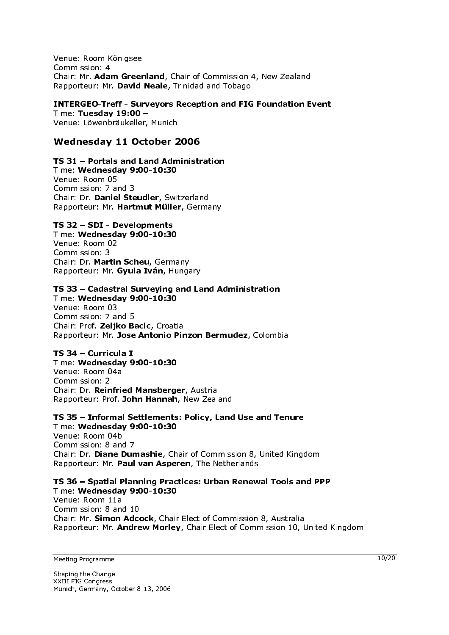Venue: Room Königsee Commission: 4 Chair: Mr. Adam Greenland, Chair of Commission 4, New Zealand Rapporteur: Mr. David Neale, Trinidad and Tobago

### INTERGEO-Treff - Surveyors Reception and FIG Foundation Event

Time: Tuesday 19:00 – Venue: Löwenbräukeller, Munich

# Wednesday 11 October 2006

# TS 31 – Portals and Land Administration

Time: Wednesday 9:00-10:30 Venue: Room 05 Commission: 7 and 3 Chair: Dr. Daniel Steudler, Switzerland Rapporteur: Mr. Hartmut Müller, Germany

# TS 32 – SDI - Developments

Time: Wednesday 9:00-10:30 Venue: Room 02 Commission: 3 Chair: Dr. Martin Scheu, Germany Rapporteur: Mr. Gyula Iván, Hungary

# TS 33 – Cadastral Surveying and Land Administration

Time: Wednesday 9:00-10:30 Venue: Room 03 Commission: 7 and 5 Chair: Prof. Zeljko Bacic, Croatia Rapporteur: Mr. Jose Antonio Pinzon Bermudez, Colombia

# TS 34 – Curricula I

Time: Wednesday 9:00-10:30 Venue: Room 04a Commission: 2 Chair: Dr. Reinfried Mansberger, Austria Rapporteur: Prof. John Hannah, New Zealand

#### TS 35 – Informal Settlements: Policy, Land Use and Tenure Time: Wednesday 9:00-10:30 Venue: Room 04b Commission: 8 and 7 Chair: Dr. Diane Dumashie, Chair of Commission 8, United Kingdom Rapporteur: Mr. Paul van Asperen, The Netherlands

### TS 36 – Spatial Planning Practices: Urban Renewal Tools and PPP Time: Wednesday 9:00-10:30 Venue: Room 11a Commission: 8 and 10 Chair: Mr. Simon Adcock, Chair Elect of Commission 8, Australia Rapporteur: Mr. Andrew Morley, Chair Elect of Commission 10, United Kingdom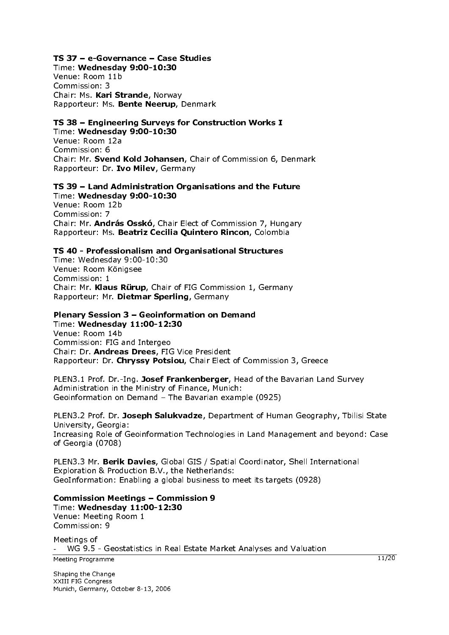# TS 37 – e-Governance – Case Studies

Time: Wednesday 9:00-10:30 Venue: Room 11b Commission: 3 Chair: Ms. Kari Strande, Norway Rapporteur: Ms. Bente Neerup, Denmark

# TS 38 – Engineering Surveys for Construction Works I

Time: Wednesday 9:00-10:30 Venue: Room 12a Commission: 6 Chair: Mr. Svend Kold Johansen, Chair of Commission 6, Denmark Rapporteur: Dr. Ivo Milev, Germany

#### TS 39 – Land Administration Organisations and the Future Time: Wednesday 9:00-10:30

Venue: Room 12b Commission: 7 Chair: Mr. András Osskó, Chair Elect of Commission 7, Hungary Rapporteur: Ms. Beatriz Cecilia Quintero Rincon, Colombia

#### TS 40 - Professionalism and Organisational Structures

Time: Wednesday 9:00-10:30 Venue: Room Königsee Commission: 1 Chair: Mr. Klaus Rürup, Chair of FIG Commission 1, Germany Rapporteur: Mr. Dietmar Sperling, Germany

## Plenary Session 3 – Geoinformation on Demand

Time: Wednesday 11:00-12:30 Venue: Room 14b Commission: FIG and Intergeo Chair: Dr. Andreas Drees, FIG Vice President Rapporteur: Dr. Chryssy Potsiou, Chair Elect of Commission 3, Greece

PLEN3.1 Prof. Dr.-Ing. Josef Frankenberger, Head of the Bavarian Land Survey Administration in the Ministry of Finance, Munich: Geoinformation on Demand – The Bavarian example (0925)

PLEN3.2 Prof. Dr. Joseph Salukvadze, Department of Human Geography, Tbilisi State University, Georgia: Increasing Role of Geoinformation Technologies in Land Management and beyond: Case of Georgia (0708)

PLEN3.3 Mr. Berik Davies, Global GIS / Spatial Coordinator, Shell International Exploration & Production B.V., the Netherlands: GeoInformation: Enabling a global business to meet its targets (0928)

#### Commission Meetings – Commission 9 Time: Wednesday 11:00-12:30

Venue: Meeting Room 1 Commission: 9

Meetings of WG 9.5 - Geostatistics in Real Estate Market Analyses and Valuation

Meeting Programme

Shaping the Change XXIII FIG Congress Munich, Germany, October 8-13, 2006  $11/20$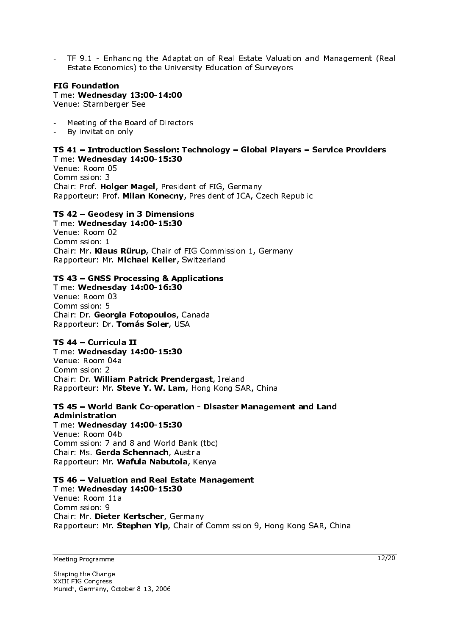- TF 9.1 - Enhancing the Adaptation of Real Estate Valuation and Management (Real Estate Economics) to the University Education of Surveyors

#### FIG Foundation Time: Wednesday 13:00-14:00 Venue: Starnberger See

- Meeting of the Board of Directors
- By invitation only

#### TS 41 – Introduction Session: Technology – Global Players – Service Providers Time: Wednesday 14:00-15:30

Venue: Room 05 Commission: 3 Chair: Prof. Holger Magel, President of FIG, Germany Rapporteur: Prof. Milan Konecny, President of ICA, Czech Republic

## TS 42 – Geodesy in 3 Dimensions

Time: Wednesday 14:00-15:30 Venue: Room 02 Commission: 1 Chair: Mr. Klaus Rürup, Chair of FIG Commission 1, Germany Rapporteur: Mr. Michael Keller, Switzerland

## TS 43 – GNSS Processing & Applications

Time: Wednesday 14:00-16:30 Venue: Room 03 Commission: 5 Chair: Dr. Georgia Fotopoulos, Canada Rapporteur: Dr. Tomás Soler, USA

# TS 44 – Curricula II

Time: Wednesday 14:00-15:30 Venue: Room 04a Commission: 2 Chair: Dr. William Patrick Prendergast, Ireland Rapporteur: Mr. Steve Y. W. Lam, Hong Kong SAR, China

#### TS 45 – World Bank Co-operation - Disaster Management and Land Administration Time: Wednesday 14:00-15:30

Venue: Room 04b Commission: 7 and 8 and World Bank (tbc) Chair: Ms. Gerda Schennach, Austria Rapporteur: Mr. Wafula Nabutola, Kenya

#### TS 46 – Valuation and Real Estate Management Time: Wednesday 14:00-15:30

Venue: Room 11a Commission: 9 Chair: Mr. Dieter Kertscher, Germany Rapporteur: Mr. Stephen Yip, Chair of Commission 9, Hong Kong SAR, China

```
Meeting Programme
```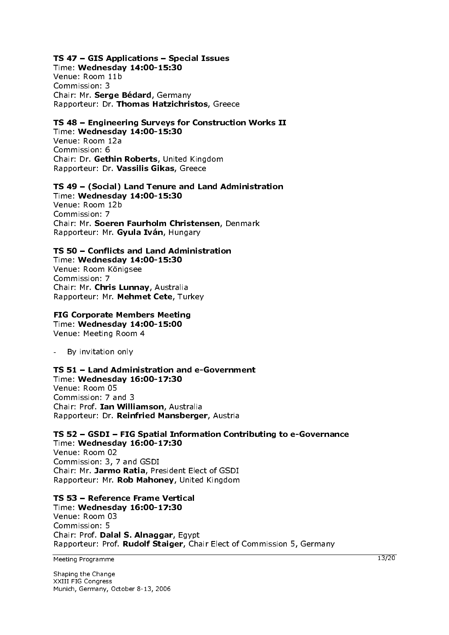# TS 47 – GIS Applications – Special Issues

Time: Wednesday 14:00-15:30 Venue: Room 11b Commission: 3 Chair: Mr. Serge Bédard, Germany Rapporteur: Dr. Thomas Hatzichristos, Greece

#### TS 48 – Engineering Surveys for Construction Works II

Time: Wednesday 14:00-15:30 Venue: Room 12a Commission: 6 Chair: Dr. Gethin Roberts, United Kingdom Rapporteur: Dr. Vassilis Gikas, Greece

## TS 49 – (Social) Land Tenure and Land Administration

Time: Wednesday 14:00-15:30 Venue: Room 12b Commission: 7 Chair: Mr. Soeren Faurholm Christensen, Denmark Rapporteur: Mr. Gyula Iván, Hungary

#### TS 50 – Conflicts and Land Administration

Time: Wednesday 14:00-15:30 Venue: Room Königsee Commission: 7 Chair: Mr. Chris Lunnay, Australia Rapporteur: Mr. Mehmet Cete, Turkey

#### FIG Corporate Members Meeting

Time: Wednesday 14:00-15:00 Venue: Meeting Room 4

By invitation only

# TS 51 – Land Administration and e-Government

Time: Wednesday 16:00-17:30 Venue: Room 05 Commission: 7 and 3 Chair: Prof. Ian Williamson, Australia Rapporteur: Dr. Reinfried Mansberger, Austria

#### TS 52 – GSDI – FIG Spatial Information Contributing to e-Governance Time: Wednesday 16:00-17:30 Venue: Room 02 Commission: 3, 7 and GSDI Chair: Mr. Jarmo Ratia, President Elect of GSDI Rapporteur: Mr. Rob Mahoney, United Kingdom

#### TS 53 – Reference Frame Vertical

Time: Wednesday 16:00-17:30 Venue: Room 03 Commission: 5 Chair: Prof. Dalal S. Alnaggar, Egypt Rapporteur: Prof. Rudolf Staiger, Chair Elect of Commission 5, Germany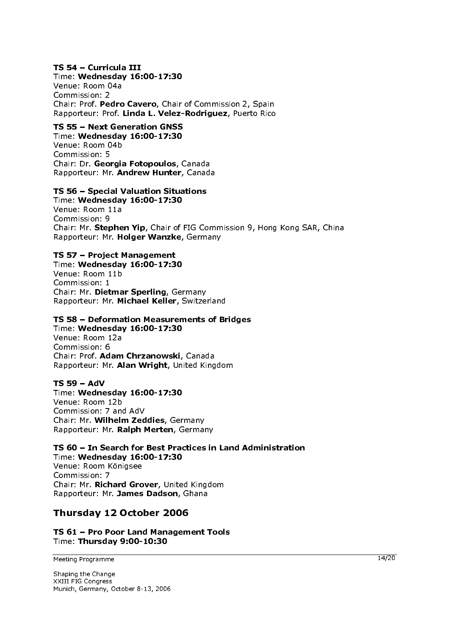# TS 54 – Curricula III

Time: Wednesday 16:00-17:30 Venue: Room 04a Commission: 2 Chair: Prof. Pedro Cavero, Chair of Commission 2, Spain Rapporteur: Prof. Linda L. Velez-Rodriguez, Puerto Rico

#### TS 55 – Next Generation GNSS

Time: Wednesday 16:00-17:30 Venue: Room 04b Commission: 5 Chair: Dr. Georgia Fotopoulos, Canada Rapporteur: Mr. Andrew Hunter, Canada

#### TS 56 – Special Valuation Situations

Time: Wednesday 16:00-17:30 Venue: Room 11a Commission: 9 Chair: Mr. Stephen Yip, Chair of FIG Commission 9, Hong Kong SAR, China Rapporteur: Mr. Holger Wanzke, Germany

#### TS 57 – Project Management

Time: Wednesday 16:00-17:30 Venue: Room 11b Commission: 1 Chair: Mr. Dietmar Sperling, Germany Rapporteur: Mr. Michael Keller, Switzerland

#### TS 58 – Deformation Measurements of Bridges

Time: Wednesday 16:00-17:30 Venue: Room 12a Commission: 6 Chair: Prof. Adam Chrzanowski, Canada Rapporteur: Mr. Alan Wright, United Kingdom

#### TS 59 – AdV

Time: Wednesday 16:00-17:30 Venue: Room 12b Commission: 7 and AdV Chair: Mr. Wilhelm Zeddies, Germany Rapporteur: Mr. Ralph Merten, Germany

TS 60 – In Search for Best Practices in Land Administration Time: Wednesday 16:00-17:30 Venue: Room Königsee Commission: 7 Chair: Mr. Richard Grover, United Kingdom Rapporteur: Mr. James Dadson, Ghana

# Thursday 12 October 2006

TS 61 – Pro Poor Land Management Tools Time: Thursday 9:00-10:30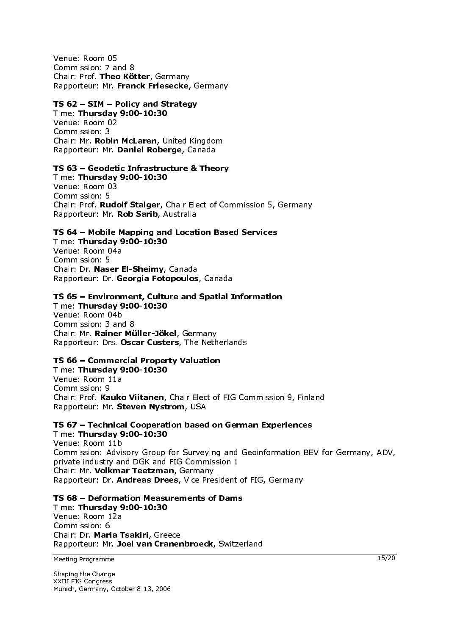Venue: Room 05 Commission: 7 and 8 Chair: Prof. Theo Kötter, Germany Rapporteur: Mr. Franck Friesecke, Germany

#### TS 62 – SIM – Policy and Strategy

Time: Thursday 9:00-10:30 Venue: Room 02 Commission: 3 Chair: Mr. Robin McLaren, United Kingdom Rapporteur: Mr. Daniel Roberge, Canada

## TS 63 – Geodetic Infrastructure & Theory

Time: Thursday 9:00-10:30 Venue: Room 03 Commission: 5 Chair: Prof. Rudolf Staiger, Chair Elect of Commission 5, Germany Rapporteur: Mr. Rob Sarib, Australia

## TS 64 – Mobile Mapping and Location Based Services

Time: Thursday 9:00-10:30 Venue: Room 04a Commission: 5 Chair: Dr. Naser El-Sheimy, Canada Rapporteur: Dr. Georgia Fotopoulos, Canada

# TS 65 – Environment, Culture and Spatial Information

Time: Thursday 9:00-10:30 Venue: Room 04b Commission: 3 and 8 Chair: Mr. Rainer Müller-Jökel, Germany Rapporteur: Drs. Oscar Custers, The Netherlands

## TS 66 – Commercial Property Valuation

Time: Thursday 9:00-10:30 Venue: Room 11a Commission: 9 Chair: Prof. Kauko Viitanen, Chair Elect of FIG Commission 9, Finland Rapporteur: Mr. Steven Nystrom, USA

#### TS 67 – Technical Cooperation based on German Experiences

Time: Thursday 9:00-10:30 Venue: Room 11b Commission: Advisory Group for Surveying and Geoinformation BEV for Germany, ADV, private industry and DGK and FIG Commission 1 Chair: Mr. Volkmar Teetzman, Germany Rapporteur: Dr. Andreas Drees, Vice President of FIG, Germany

#### TS 68 – Deformation Measurements of Dams

Time: Thursday 9:00-10:30 Venue: Room 12a Commission: 6 Chair: Dr. Maria Tsakiri, Greece Rapporteur: Mr. Joel van Cranenbroeck, Switzerland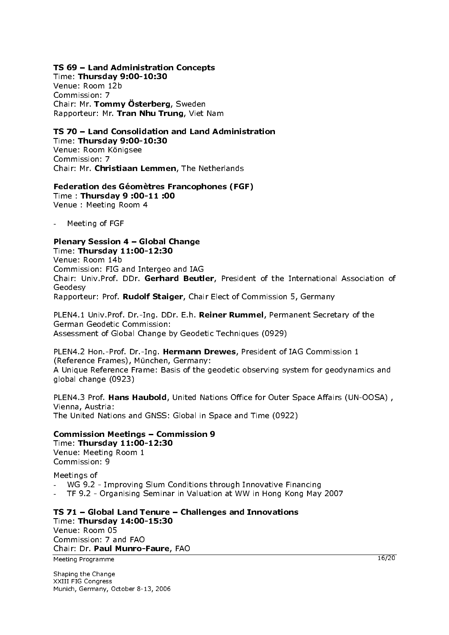# TS 69 – Land Administration Concepts

Time: Thursday 9:00-10:30 Venue: Room 12b Commission: 7 Chair: Mr. Tommy Österberg, Sweden Rapporteur: Mr. Tran Nhu Trung, Viet Nam

### TS 70 – Land Consolidation and Land Administration

Time: Thursday 9:00-10:30 Venue: Room Königsee Commission: 7 Chair: Mr. Christiaan Lemmen, The Netherlands

#### Federation des Géomètres Francophones (FGF) Time : Thursday 9 :00-11 :00

Venue : Meeting Room 4

Meeting of FGF

# Plenary Session 4 – Global Change

Time: Thursday 11:00-12:30 Venue: Room 14b Commission: FIG and Intergeo and IAG Chair: Univ. Prof. DDr. Gerhard Beutler, President of the International Association of Geodesy Rapporteur: Prof. Rudolf Staiger, Chair Elect of Commission 5, Germany

PLEN4.1 Univ. Prof. Dr. - Ing. DDr. E.h. Reiner Rummel, Permanent Secretary of the German Geodetic Commission: Assessment of Global Change by Geodetic Techniques (0929)

PLEN4.2 Hon.-Prof. Dr.-Ing. Hermann Drewes, President of IAG Commission 1 (Reference Frames), München, Germany: A Unique Reference Frame: Basis of the geodetic observing system for geodynamics and global change (0923)

PLEN4.3 Prof. Hans Haubold, United Nations Office for Outer Space Affairs (UN-OOSA), Vienna, Austria: The United Nations and GNSS: Global in Space and Time (0922)

#### Commission Meetings – Commission 9

Time: Thursday 11:00-12:30 Venue: Meeting Room 1 Commission: 9

Meetings of

- WG 9.2 Improving Slum Conditions through Innovative Financing
- TF 9.2 Organising Seminar in Valuation at WW in Hong Kong May 2007

#### Meeting Programme TS 71 – Global Land Tenure – Challenges and Innovations Time: Thursday 14:00-15:30 Venue: Room 05 Commission: 7 and FAO Chair: Dr. Paul Munro-Faure, FAO

Shaping the Change XXIII FIG Congress Munich, Germany, October 8-13, 2006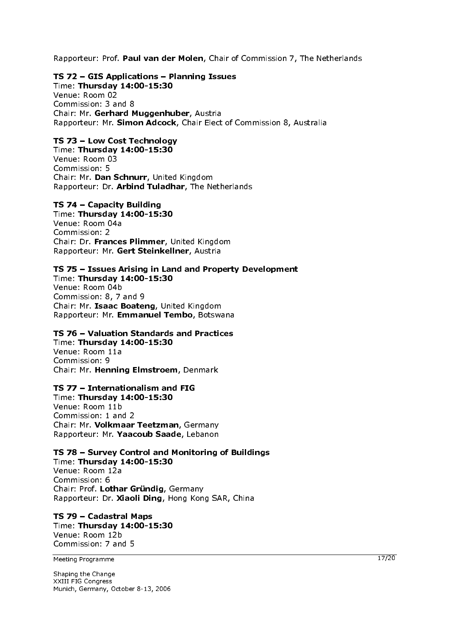Rapporteur: Prof. Paul van der Molen, Chair of Commission 7, The Netherlands

#### TS 72 – GIS Applications – Planning Issues

Time: Thursday 14:00-15:30 Venue: Room 02 Commission: 3 and 8 Chair: Mr. Gerhard Muggenhuber, Austria Rapporteur: Mr. Simon Adcock, Chair Elect of Commission 8, Australia

## TS 73 – Low Cost Technology

Time: Thursday 14:00-15:30 Venue: Room 03 Commission: 5 Chair: Mr. Dan Schnurr, United Kingdom Rapporteur: Dr. Arbind Tuladhar, The Netherlands

#### TS 74 – Capacity Building

Time: Thursday 14:00-15:30 Venue: Room 04a Commission: 2 Chair: Dr. Frances Plimmer, United Kingdom Rapporteur: Mr. Gert Steinkellner, Austria

#### TS 75 – Issues Arising in Land and Property Development

Time: Thursday 14:00-15:30 Venue: Room 04b Commission: 8, 7 and 9 Chair: Mr. Isaac Boateng, United Kingdom Rapporteur: Mr. Emmanuel Tembo, Botswana

#### TS 76 – Valuation Standards and Practices

Time: Thursday 14:00-15:30 Venue: Room 11a Commission: 9 Chair: Mr. Henning Elmstroem, Denmark

#### TS 77 – Internationalism and FIG

Time: Thursday 14:00-15:30 Venue: Room 11b Commission: 1 and 2 Chair: Mr. Volkmaar Teetzman, Germany Rapporteur: Mr. Yaacoub Saade, Lebanon

#### TS 78 – Survey Control and Monitoring of Buildings

Time: Thursday 14:00-15:30 Venue: Room 12a Commission: 6 Chair: Prof. Lothar Gründig, Germany Rapporteur: Dr. Xiaoli Ding, Hong Kong SAR, China

#### TS 79 – Cadastral Maps

Time: Thursday 14:00-15:30 Venue: Room 12b Commission: 7 and 5

Meeting Programme

Shaping the Change XXIII FIG Congress Munich, Germany, October 8-13, 2006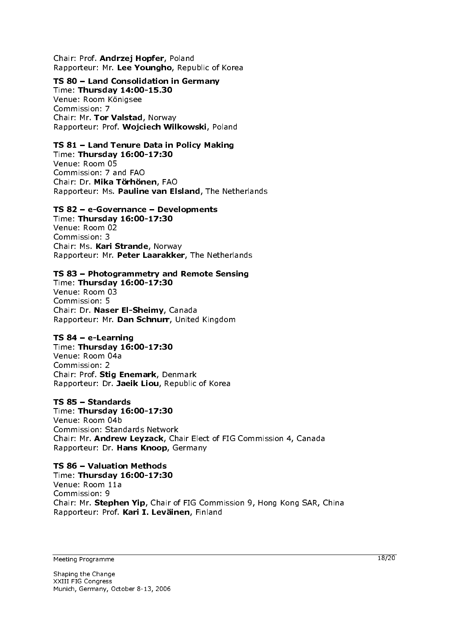Chair: Prof. Andrzej Hopfer, Poland Rapporteur: Mr. Lee Youngho, Republic of Korea

# TS 80 – Land Consolidation in Germany

Time: Thursday 14:00-15.30 Venue: Room Königsee Commission: 7 Chair: Mr. Tor Valstad, Norway Rapporteur: Prof. Wojciech Wilkowski, Poland

# TS 81 – Land Tenure Data in Policy Making

Time: Thursday 16:00-17:30 Venue: Room 05 Commission: 7 and FAO Chair: Dr. Mika Törhönen, FAO Rapporteur: Ms. Pauline van Elsland, The Netherlands

# TS 82 – e-Governance – Developments

Time: Thursday 16:00-17:30 Venue: Room 02 Commission: 3 Chair: Ms. Kari Strande, Norway Rapporteur: Mr. Peter Laarakker, The Netherlands

# TS 83 – Photogrammetry and Remote Sensing

Time: Thursday 16:00-17:30 Venue: Room 03 Commission: 5 Chair: Dr. Naser El-Sheimy, Canada Rapporteur: Mr. Dan Schnurr, United Kingdom

# TS 84 – e-Learning

Time: Thursday 16:00-17:30 Venue: Room 04a Commission: 2 Chair: Prof. Stig Enemark, Denmark Rapporteur: Dr. Jaeik Liou, Republic of Korea

#### TS 85 – Standards

Time: Thursday 16:00-17:30 Venue: Room 04b Commission: Standards Network Chair: Mr. Andrew Leyzack, Chair Elect of FIG Commission 4, Canada Rapporteur: Dr. Hans Knoop, Germany

# TS 86 – Valuation Methods

Time: Thursday 16:00-17:30 Venue: Room 11a Commission: 9 Chair: Mr. Stephen Yip, Chair of FIG Commission 9, Hong Kong SAR, China Rapporteur: Prof. Kari I. Leväinen, Finland

```
Meeting Programme
```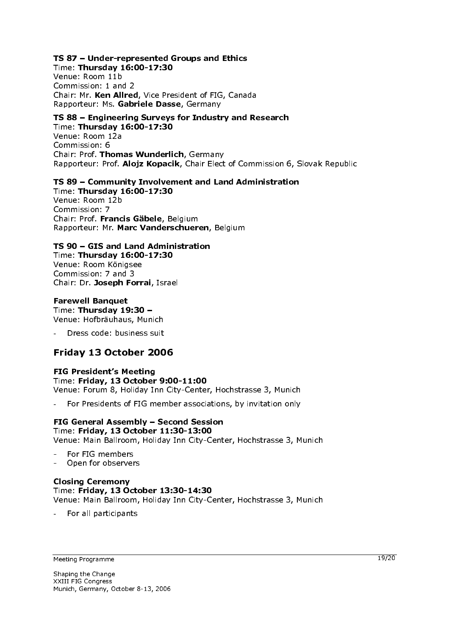# TS 87 – Under-represented Groups and Ethics

Time: Thursday 16:00-17:30 Venue: Room 11b Commission: 1 and 2 Chair: Mr. Ken Allred, Vice President of FIG, Canada Rapporteur: Ms. Gabriele Dasse, Germany

## TS 88 – Engineering Surveys for Industry and Research

Time: Thursday 16:00-17:30 Venue: Room 12a Commission: 6 Chair: Prof. Thomas Wunderlich, Germany Rapporteur: Prof. Aloiz Kopacik, Chair Elect of Commission 6, Slovak Republic

## TS 89 – Community Involvement and Land Administration

Time: Thursday 16:00-17:30 Venue: Room 12b Commission: 7 Chair: Prof. Francis Gäbele, Belgium Rapporteur: Mr. Marc Vanderschueren, Belgium

#### TS 90 – GIS and Land Administration

Time: Thursday 16:00-17:30 Venue: Room Königsee Commission: 7 and 3 Chair: Dr. Joseph Forrai, Israel

Farewell Banquet Time: Thursday 19:30 – Venue: Hofbräuhaus, Munich

Dress code: business suit

# Friday 13 October 2006

FIG President's Meeting Time: Friday, 13 October 9:00-11:00 Venue: Forum 8, Holiday Inn City-Center, Hochstrasse 3, Munich

For Presidents of FIG member associations, by invitation only

#### FIG General Assembly – Second Session Time: Friday, 13 October 11:30-13:00

Venue: Main Ballroom, Holiday Inn City-Center, Hochstrasse 3, Munich

- For FIG members
- Open for observers

#### Closing Ceremony Time: Friday, 13 October 13:30-14:30 Venue: Main Ballroom, Holiday Inn City-Center, Hochstrasse 3, Munich

For all participants